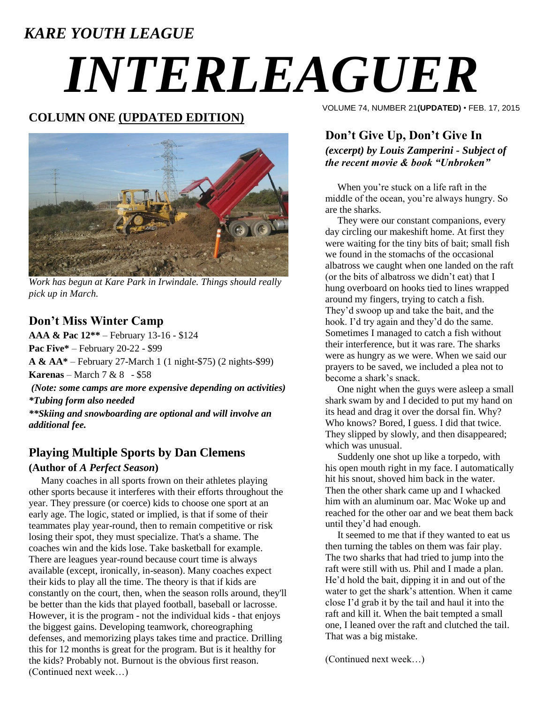### *KARE YOUTH LEAGUE*

# *INTERLEAGUER*

#### **COLUMN ONE (UPDATED EDITION)**



*Work has begun at Kare Park in Irwindale. Things should really pick up in March.*

#### **Don't Miss Winter Camp**

**AAA & Pac 12\*\*** – February 13-16 - \$124 **Pac Five\*** – February 20-22 - \$99 **A & AA\*** – February 27-March 1 (1 night-\$75) (2 nights-\$99)

**Karenas** – March 7 & 8 - \$58

*(Note: some camps are more expensive depending on activities) \*Tubing form also needed*

*\*\*Skiing and snowboarding are optional and will involve an additional fee.*

#### **Playing Multiple Sports by Dan Clemens**

#### **(Author of** *A Perfect Season***)**

 Many coaches in all sports frown on their athletes playing other sports because it interferes with their efforts throughout the year. They pressure (or coerce) kids to choose one sport at an early age. The logic, stated or implied, is that if some of their teammates play year-round, then to remain competitive or risk losing their spot, they must specialize. That's a shame. The coaches win and the kids lose. Take basketball for example. There are leagues year-round because court time is always available (except, ironically, in-season). Many coaches expect their kids to play all the time. The theory is that if kids are constantly on the court, then, when the season rolls around, they'll be better than the kids that played football, baseball or lacrosse. However, it is the program - not the individual kids - that enjoys the biggest gains. Developing teamwork, choreographing defenses, and memorizing plays takes time and practice. Drilling this for 12 months is great for the program. But is it healthy for the kids? Probably not. Burnout is the obvious first reason. (Continued next week…)

VOLUME 74, NUMBER 21**(UPDATED)** • FEB. 17, 2015

#### **Don't Give Up, Don't Give In** *(excerpt) by Louis Zamperini - Subject of*

*the recent movie & book "Unbroken"* 

 When you're stuck on a life raft in the middle of the ocean, you're always hungry. So are the sharks.

 They were our constant companions, every day circling our makeshift home. At first they were waiting for the tiny bits of bait; small fish we found in the stomachs of the occasional albatross we caught when one landed on the raft (or the bits of albatross we didn't eat) that I hung overboard on hooks tied to lines wrapped around my fingers, trying to catch a fish. They'd swoop up and take the bait, and the hook. I'd try again and they'd do the same. Sometimes I managed to catch a fish without their interference, but it was rare. The sharks were as hungry as we were. When we said our prayers to be saved, we included a plea not to become a shark's snack.

 One night when the guys were asleep a small shark swam by and I decided to put my hand on its head and drag it over the dorsal fin. Why? Who knows? Bored, I guess. I did that twice. They slipped by slowly, and then disappeared; which was unusual.

 Suddenly one shot up like a torpedo, with his open mouth right in my face. I automatically hit his snout, shoved him back in the water. Then the other shark came up and I whacked him with an aluminum oar. Mac Woke up and reached for the other oar and we beat them back until they'd had enough.

 It seemed to me that if they wanted to eat us then turning the tables on them was fair play. The two sharks that had tried to jump into the raft were still with us. Phil and I made a plan. He'd hold the bait, dipping it in and out of the water to get the shark's attention. When it came close I'd grab it by the tail and haul it into the raft and kill it. When the bait tempted a small one, I leaned over the raft and clutched the tail. That was a big mistake.

(Continued next week…)